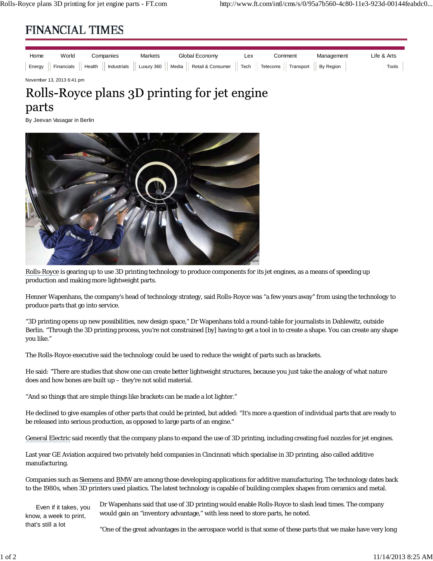## **FINANCIAL TIMES**

| Home | World | Companies | <b>Markets</b> | Global Economv                                                                                                                          | Lex | Comment | Management | Life & Arts |
|------|-------|-----------|----------------|-----------------------------------------------------------------------------------------------------------------------------------------|-----|---------|------------|-------------|
|      |       |           |                | Energy    Financials    Health    Industrials    Luxury 360    Media    Retail & Consumer    Tech    Telecoms    Transport    By Region |     |         |            | Tools       |

November 13, 2013 6:41 pm

## Rolls-Royce plans 3D printing for jet engine parts

By Jeevan Vasagar in Berlin



Rolls-Royce is gearing up to use 3D printing technology to produce components for its jet engines, as a means of speeding up production and making more lightweight parts.

Henner Wapenhans, the company's head of technology strategy, said Rolls-Royce was "a few years away" from using the technology to produce parts that go into service.

"3D printing opens up new possibilities, new design space," Dr Wapenhans told a round-table for journalists in Dahlewitz, outside Berlin. "Through the 3D printing process, you're not constrained [by] having to get a tool in to create a shape. You can create any shape you like."

The Rolls-Royce executive said the technology could be used to reduce the weight of parts such as brackets.

He said: "There are studies that show one can create better lightweight structures, because you just take the analogy of what nature does and how bones are built up – they're not solid material.

"And so things that are simple things like brackets can be made a lot lighter."

He declined to give examples of other parts that could be printed, but added: "It's more a question of individual parts that are ready to be released into serious production, as opposed to large parts of an engine."

General Electric said recently that the company plans to expand the use of 3D printing, including creating fuel nozzles for jet engines.

Last year GE Aviation acquired two privately held companies in Cincinnati which specialise in 3D printing, also called additive manufacturing.

Companies such as Siemens and BMW are among those developing applications for additive manufacturing. The technology dates back to the 1980s, when 3D printers used plastics. The latest technology is capable of building complex shapes from ceramics and metal.

Even if it takes, you know, a week to print, Dr Wapenhans said that use of 3D printing would enable Rolls-Royce to slash lead times. The company would gain an "inventory advantage," with less need to store parts, he noted.

"One of the great advantages in the aerospace world is that some of these parts that we make have very long

that's still a lot